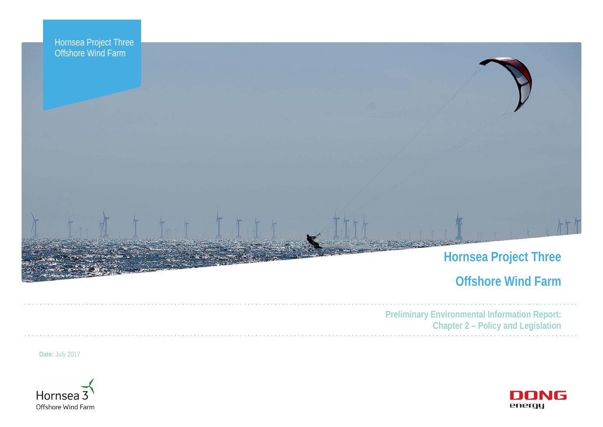



| <b>Preliminary Environg</b> |
|-----------------------------|
| :haptel                     |
|                             |

# **Offshore Wind Farm**

**Preliminary Environmental Information Report: Chapter 2 – Policy and Legislation**



**Date:** July 2017

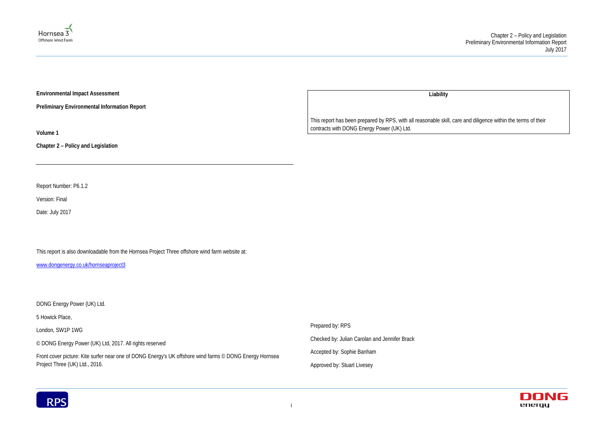



**Environmental Impact Assessment** 

**Preliminary Environmental Information Report**

**Volume 1**

**Chapter 2 – Policy and Legislation**

Report Number: P6.1.2

Version: Final

Date: July 2017

This report is also downloadable from the Hornsea Project Three offshore wind farm website at:

[www.dongenergy.co.uk/hornseaproject3](http://www.dongenergy.co.uk/hornseaproject3)

DONG Energy Power (UK) Ltd.

5 Howick Place,

London, SW1P 1WG

© DONG Energy Power (UK) Ltd, 2017. All rights reserved

Front cover picture: Kite surfer near one of DONG Energy's UK offshore wind farms © DONG Energy Hornsea Project Three (UK) Ltd., 2016.

**Liability**

This report has been prepared by RPS, with all reasonable skill, care and diligence within the terms of their contracts with DONG Energy Power (UK) Ltd.

Prepared by: RPS

Checked by: Julian Carolan and Jennifer Brack

Accepted by: Sophie Banham

Approved by: Stuart Livesey

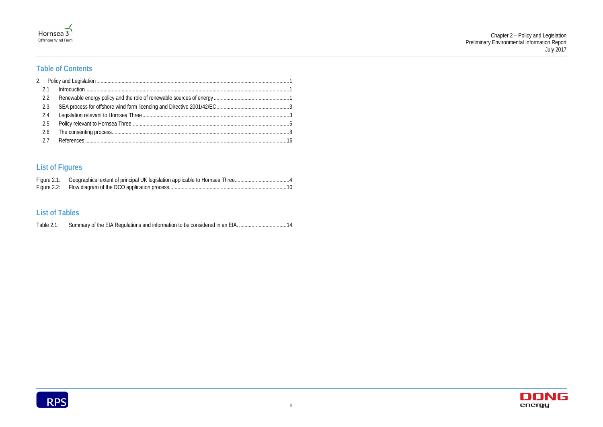



# **Table of Contents**

| 2.2 |  |
|-----|--|
| 2.3 |  |
|     |  |
|     |  |
| 2.6 |  |
|     |  |

# **List of Figures**

# **List of Tables**

| Table $2.1$ : |  |
|---------------|--|
|               |  |

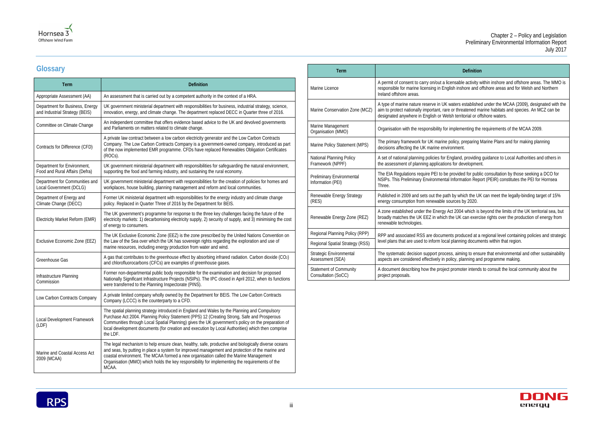#### **Definition**

a permit of consetsube a personable assent on a sable activity within inshore and offshore areas. The MMO is h inshore and offshore areas and for Welsh and Northern

Iters established under the MCAA (2009), designated with the r threatened marine habitats and species. An MCZ can be i territorial or offshore waters.

plementing the requirements of the MCAA 2009.

licy, preparing Marine Plans and for making planning ament.

Jand, providing guidance to Local Authorities and others in for development.

ovided for public consultation by those seeking a DCO for Iformation Report (PEIR) constitutes the PEI for Hornsea

by which the UK can meet the legally-binding target of 15%  $r$ ces by 2020.

2004 which is beyond the limits of the UK territorial sea, but broadly Can exercise rights over the production of energy from

s produced at a regional level containing policies and strategic lanning documents within that region.

, aiming to ensure that environmental and other sustainability cy, planning and programme making.

romoter intends to consult the local community about the





# **Glossary**

| <b>Term</b>                                                       | <b>Definition</b>                                                                                                                                                                                                                                                                                                                                                                                                  |
|-------------------------------------------------------------------|--------------------------------------------------------------------------------------------------------------------------------------------------------------------------------------------------------------------------------------------------------------------------------------------------------------------------------------------------------------------------------------------------------------------|
| Appropriate Assessment (AA)                                       | An assessment that is carried out by a competent authority in the context of a HRA.                                                                                                                                                                                                                                                                                                                                |
| Department for Business, Energy<br>and Industrial Strategy (BEIS) | UK government ministerial department with responsibilities for business, industrial strategy, science,<br>innovation, energy, and climate change. The department replaced DECC in Quarter three of 2016.                                                                                                                                                                                                           |
| Committee on Climate Change                                       | An independent committee that offers evidence based advice to the UK and devolved governments<br>and Parliaments on matters related to climate change.                                                                                                                                                                                                                                                             |
| Contracts for Difference (CFD)                                    | A private law contract between a low carbon electricity generator and the Low Carbon Contracts<br>Company. The Low Carbon Contracts Company is a government-owned company, introduced as part<br>of the now implemented EMR programme. CFDs have replaced Renewables Obligation Certificates<br>(ROCs).                                                                                                            |
| Department for Environment,<br>Food and Rural Affairs (Defra)     | UK government ministerial department with responsibilities for safeguarding the natural environment,<br>supporting the food and farming industry, and sustaining the rural economy.                                                                                                                                                                                                                                |
| Department for Communities and<br>Local Government (DCLG)         | UK government ministerial department with responsibilities for the creation of policies for homes and<br>workplaces, house building, planning management and reform and local communities.                                                                                                                                                                                                                         |
| Department of Energy and<br>Climate Change (DECC)                 | Former UK ministerial department with responsibilities for the energy industry and climate change<br>policy. Replaced in Quarter Three of 2016 by the Department for BEIS.                                                                                                                                                                                                                                         |
| Electricity Market Reform (EMR)                                   | The UK government's programme for response to the three key challenges facing the future of the<br>electricity markets: 1) decarbonising electricity supply, 2) security of supply, and 3) minimising the cost<br>of energy to consumers.                                                                                                                                                                          |
| Exclusive Economic Zone (EEZ)                                     | The UK Exclusive Economic Zone (EEZ) is the zone prescribed by the United Nations Convention on<br>the Law of the Sea over which the UK has sovereign rights regarding the exploration and use of<br>marine resources, including energy production from water and wind.                                                                                                                                            |
| Greenhouse Gas                                                    | A gas that contributes to the greenhouse effect by absorbing infrared radiation. Carbon dioxide (CO2)<br>and chlorofluorocarbons (CFCs) are examples of greenhouse gases.                                                                                                                                                                                                                                          |
| Infrastructure Planning<br>Commission                             | Former non-departmental public body responsible for the examination and decision for proposed<br>Nationally Significant Infrastructure Projects (NSIPs). The IPC closed in April 2012, when its functions<br>were transferred to the Planning Inspectorate (PINS).                                                                                                                                                 |
| Low Carbon Contracts Company                                      | A private limited company wholly owned by the Department for BEIS. The Low Carbon Contracts<br>Company (LCCC) is the counterparty to a CFD.                                                                                                                                                                                                                                                                        |
| Local Development Framework<br>(LDF)                              | The spatial planning strategy introduced in England and Wales by the Planning and Compulsory<br>Purchase Act 2004. Planning Policy Statement (PPS) 12 (Creating Strong, Safe and Prosperous<br>Communities through Local Spatial Planning) gives the UK government's policy on the preparation of<br>local development documents (for creation and execution by Local Authorities) which then comprise<br>the LDF. |
| Marine and Coastal Access Act<br>2009 (MCAA)                      | The legal mechanism to help ensure clean, healthy, safe, productive and biologically diverse oceans<br>and seas, by putting in place a system for improved management and protection of the marine and<br>coastal environment. The MCAA formed a new organisation called the Marine Management<br>Organisation (MMO) which holds the key responsibility for implementing the requirements of the<br>MCAA.          |

| Term                                                 |                                                                                                                                      |
|------------------------------------------------------|--------------------------------------------------------------------------------------------------------------------------------------|
| Marine Licence                                       | A permit of consent to carry on/out a licen<br>responsible for marine licensing in English<br>Ireland offshore areas.                |
| Marine Conservation Zone (MCZ)                       | A type of marine nature reserve in UK wat<br>aim to protect nationally important, rare or<br>designated anywhere in English or Welsh |
| Marine Management<br>Organisation (MMO)              | Organisation with the responsibility for imp                                                                                         |
| Marine Policy Statement (MPS)                        | The primary framework for UK marine poli<br>decisions affecting the UK marine environ                                                |
| National Planning Policy<br>Framework (NPPF)         | A set of national planning policies for Engl<br>the assessment of planning applications fo                                           |
| Preliminary Environmental<br>Information (PEI)       | The EIA Regulations require PEI to be pro<br>NSIPs. This Preliminary Environmental Int<br>Three.                                     |
| Renewable Energy Strategy<br>(RES)                   | Published in 2009 and sets out the path b<br>energy consumption from renewable sour                                                  |
| Renewable Energy Zone (REZ)                          | A zone established under the Energy Act<br>broadly matches the UK EEZ in which the<br>renewable technologies.                        |
| Regional Planning Policy (RPP)                       | RPP and associated RSS are documents                                                                                                 |
| Regional Spatial Strategy (RSS)                      | level plans that are used to inform local pl                                                                                         |
| Strategic Environmental<br>Assessment (SEA)          | The systematic decision support process,<br>aspects are considered effectively in polic                                              |
| <b>Statement of Community</b><br>Consultation (SoCC) | A document describing how the project pr<br>project proposals.                                                                       |

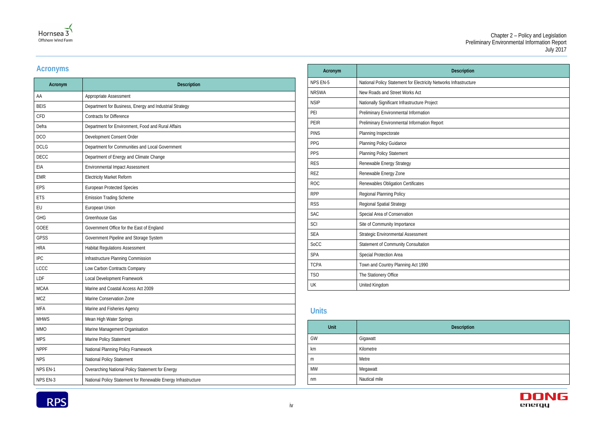| escription   |  |
|--------------|--|
| frastructure |  |
|              |  |
|              |  |
|              |  |
|              |  |
|              |  |
|              |  |
|              |  |
|              |  |
|              |  |
|              |  |
|              |  |
|              |  |
|              |  |
|              |  |
|              |  |
|              |  |
|              |  |
|              |  |
|              |  |
|              |  |



# **Acronyms**

| Acronym     | <b>Description</b>                                            |
|-------------|---------------------------------------------------------------|
| AA          | Appropriate Assessment                                        |
| <b>BEIS</b> | Department for Business, Energy and Industrial Strategy       |
| <b>CFD</b>  | <b>Contracts for Difference</b>                               |
| Defra       | Department for Environment, Food and Rural Affairs            |
| <b>DCO</b>  | Development Consent Order                                     |
| <b>DCLG</b> | Department for Communities and Local Government               |
| <b>DECC</b> | Department of Energy and Climate Change                       |
| EIA         | Environmental Impact Assessment                               |
| <b>EMR</b>  | <b>Electricity Market Reform</b>                              |
| <b>EPS</b>  | <b>European Protected Species</b>                             |
| <b>ETS</b>  | <b>Emission Trading Scheme</b>                                |
| EU          | European Union                                                |
| <b>GHG</b>  | Greenhouse Gas                                                |
| <b>GOEE</b> | Government Office for the East of England                     |
| <b>GPSS</b> | Government Pipeline and Storage System                        |
| <b>HRA</b>  | <b>Habitat Regulations Assessment</b>                         |
| <b>IPC</b>  | Infrastructure Planning Commission                            |
| LCCC        | Low Carbon Contracts Company                                  |
| LDF         | Local Development Framework                                   |
| <b>MCAA</b> | Marine and Coastal Access Act 2009                            |
| <b>MCZ</b>  | Marine Conservation Zone                                      |
| <b>MFA</b>  | Marine and Fisheries Agency                                   |
| <b>MHWS</b> | Mean High Water Springs                                       |
| <b>MMO</b>  | Marine Management Organisation                                |
| <b>MPS</b>  | Marine Policy Statement                                       |
| <b>NPPF</b> | National Planning Policy Framework                            |
| <b>NPS</b>  | National Policy Statement                                     |
| NPS EN-1    | Overarching National Policy Statement for Energy              |
| NPS EN-3    | National Policy Statement for Renewable Energy Infrastructure |

| Acronym         | <b>Description</b>                                                |
|-----------------|-------------------------------------------------------------------|
| <b>NPS EN-5</b> | National Policy Statement for Electricity Networks Infrastructure |
| <b>NRSWA</b>    | New Roads and Street Works Act                                    |
| <b>NSIP</b>     | Nationally Significant Infrastructure Project                     |
| PEI             | Preliminary Environmental Information                             |
| <b>PEIR</b>     | Preliminary Environmental Information Report                      |
| <b>PINS</b>     | Planning Inspectorate                                             |
| PPG             | <b>Planning Policy Guidance</b>                                   |
| PPS             | <b>Planning Policy Statement</b>                                  |
| <b>RES</b>      | Renewable Energy Strategy                                         |
| RF7             | Renewable Energy Zone                                             |
| <b>ROC</b>      | Renewables Obligation Certificates                                |
| <b>RPP</b>      | Regional Planning Policy                                          |
| <b>RSS</b>      | <b>Regional Spatial Strategy</b>                                  |
| <b>SAC</b>      | Special Area of Conservation                                      |
| SCI             | Site of Community Importance                                      |
| <b>SEA</b>      | Strategic Environmental Assessment                                |
| SoCC            | Statement of Community Consultation                               |
| <b>SPA</b>      | Special Protection Area                                           |
| <b>TCPA</b>     | Town and Country Planning Act 1990                                |
| <b>TSO</b>      | The Stationery Office                                             |
| UK              | United Kingdom                                                    |
|                 |                                                                   |

# **Units**

**Unit Description**



| Unit      | De            |
|-----------|---------------|
| GW        | Gigawatt      |
| km        | Kilometre     |
| m         | Metre         |
| <b>MW</b> | Megawatt      |
| nm        | Nautical mile |

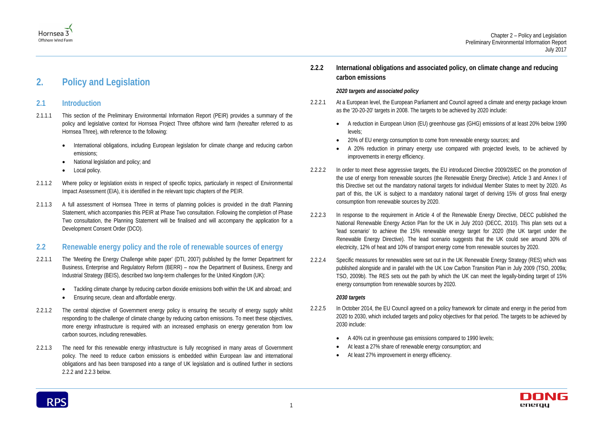

# <span id="page-5-0"></span>**2. Policy and Legislation**

# <span id="page-5-1"></span>**2.1 Introduction**

- 2.1.1.1 This section of the Preliminary Environmental Information Report (PEIR) provides a summary of the policy and legislative context for Hornsea Project Three offshore wind farm (hereafter referred to as Hornsea Three), with reference to the following:
	- International obligations, including European legislation for climate change and reducing carbon emissions;
	- National legislation and policy; and
	- Local policy.
- 2.1.1.2 Where policy or legislation exists in respect of specific topics, particularly in respect of Environmental Impact Assessment (EIA), it is identified in the relevant topic chapters of the PEIR.
- 2.1.1.3 A full assessment of Hornsea Three in terms of planning policies is provided in the draft Planning Statement, which accompanies this PEIR at Phase Two consultation. Following the completion of Phase Two consultation, the Planning Statement will be finalised and will accompany the application for a Development Consent Order (DCO).

# <span id="page-5-2"></span>**2.2 Renewable energy policy and the role of renewable sources of energy**

- 2.2.1.1 The 'Meeting the Energy Challenge white paper' (DTI, 2007) published by the former Department for Business, Enterprise and Regulatory Reform (BERR) – now the Department of Business, Energy and Industrial Strategy (BEIS), described two long-term challenges for the United Kingdom (UK):
	- Tackling climate change by reducing carbon dioxide emissions both within the UK and abroad; and
	- Ensuring secure, clean and affordable energy.
- 2.2.1.2 The central objective of Government energy policy is ensuring the security of energy supply whilst responding to the challenge of climate change by reducing carbon emissions. To meet these objectives, more energy infrastructure is required with an increased emphasis on energy generation from low carbon sources, including renewables.
- 2.2.1.3 The need for this renewable energy infrastructure is fully recognised in many areas of Government policy. The need to reduce carbon emissions is embedded within European law and international obligations and has been transposed into a range of UK legislation and is outlined further in sections [2.2.2](#page-5-3) and [2.2.3](#page-6-0) below.
- 2.2.2.5 In October 2014, the EU Council agreed on a policy framework for climate and energy in the period from 2020 to 2030, which included targets and policy objectives for that period. The targets to be achieved by 2030 include:
	- A 40% cut in greenhouse gas emissions compared to 1990 levels;
	- At least a 27% share of renewable energy consumption; and
	- At least 27% improvement in energy efficiency.



# <span id="page-5-3"></span>**2.2.2 International obligations and associated policy, on climate change and reducing carbon emissions**

# *2020 targets and associated policy*

• A 20% reduction in primary energy use compared with projected levels, to be achieved by



- 2.2.2.1 At a European level, the European Parliament and Council agreed a climate and energy package known as the '20-20-20' targets in 2008. The targets to be achieved by 2020 include:
	- A reduction in European Union (EU) greenhouse gas (GHG) emissions of at least 20% below 1990 levels;
	- 20% of EU energy consumption to come from renewable energy sources; and
	- improvements in energy efficiency.
- 2.2.2.2 In order to meet these aggressive targets, the EU introduced Directive 2009/28/EC on the promotion of the use of energy from renewable sources (the Renewable Energy Directive). Article 3 and Annex I of this Directive set out the mandatory national targets for individual Member States to meet by 2020. As part of this, the UK is subject to a mandatory national target of deriving 15% of gross final energy consumption from renewable sources by 2020.
- 2.2.2.3 In response to the requirement in Article 4 of the Renewable Energy Directive, DECC published the National Renewable Energy Action Plan for the UK in July 2010 (DECC, 2010). This plan sets out a 'lead scenario' to achieve the 15% renewable energy target for 2020 (the UK target under the Renewable Energy Directive). The lead scenario suggests that the UK could see around 30% of electricity, 12% of heat and 10% of transport energy come from renewable sources by 2020.
- 2.2.2.4 Specific measures for renewables were set out in the UK Renewable Energy Strategy (RES) which was published alongside and in parallel with the UK Low Carbon Transition Plan in July 2009 (TSO, 2009a; TSO, 2009b). The RES sets out the path by which the UK can meet the legally-binding target of 15% energy consumption from renewable sources by 2020.

# *2030 targets*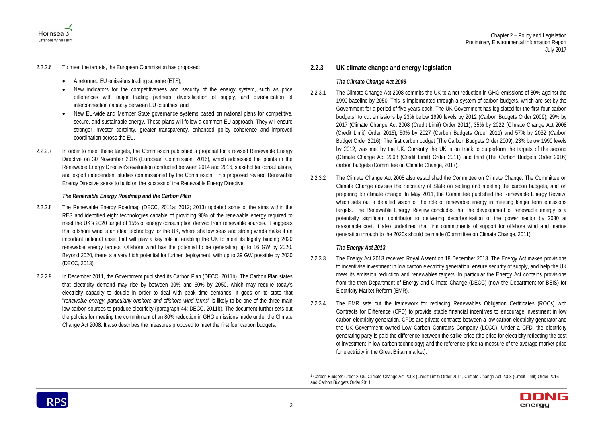



#### 2.2.2.6 To meet the targets, the European Commission has proposed:

- A reformed EU emissions trading scheme (ETS);
- New indicators for the competitiveness and security of the energy system, such as price differences with major trading partners, diversification of supply, and diversification of interconnection capacity between EU countries; and
- New EU-wide and Member State governance systems based on national plans for competitive, secure, and sustainable energy. These plans will follow a common EU approach. They will ensure stronger investor certainty, greater transparency, enhanced policy coherence and improved coordination across the EU.
- 2.2.2.7 In order to meet these targets, the Commission published a proposal for a revised Renewable Energy Directive on 30 November 2016 (European Commission, 2016), which addressed the points in the Renewable Energy Directive's evaluation conducted between 2014 and 2016, stakeholder consultations, and expert independent studies commissioned by the Commission. This proposed revised Renewable Energy Directive seeks to build on the success of the Renewable Energy Directive.

#### *The Renewable Energy Roadmap and the Carbon Plan*

- 2.2.2.8 The Renewable Energy Roadmap (DECC, 2011a; 2012; 2013) updated some of the aims within the RES and identified eight technologies capable of providing 90% of the renewable energy required to meet the UK's 2020 target of 15% of energy consumption derived from renewable sources. It suggests that offshore wind is an ideal technology for the UK, where shallow seas and strong winds make it an important national asset that will play a key role in enabling the UK to meet its legally binding 2020 renewable energy targets. Offshore wind has the potential to be generating up to 16 GW by 2020. Beyond 2020, there is a very high potential for further deployment, with up to 39 GW possible by 2030 (DECC, 2013).
- 2.2.2.9 In December 2011, the Government published its Carbon Plan (DECC, 2011b). The Carbon Plan states that electricity demand may rise by between 30% and 60% by 2050, which may require today's electricity capacity to double in order to deal with peak time demands. It goes on to state that "*renewable energy, particularly onshore and offshore wind farms*" is likely to be one of the three main low carbon sources to produce electricity (paragraph 44; DECC, 2011b). The document further sets out the policies for meeting the commitment of an 80% reduction in GHG emissions made under the Climate Change Act 2008. It also describes the measures proposed to meet the first four carbon budgets.

# <span id="page-6-1"></span><span id="page-6-0"></span>**2.2.3 UK climate change and energy legislation**

### *The Climate Change Act 2008*

- 2.2.3.1 The Climate Change Act 2008 commits the UK to a net reduction in GHG emissions of 80% against the 1990 baseline by 2050. This is implemented through a system of carbon budgets, which are set by the Government for a period of five years each. The UK Government has legislated for the first four carbon budgets[1](#page-6-1) to cut emissions by 23% below 1990 levels by 2012 (Carbon Budgets Order 2009), 29% by 2017 (Climate Change Act 2008 (Credit Limit) Order 2011), 35% by 2022 (Climate Change Act 2008 (Credit Limit) Order 2016), 50% by 2027 (Carbon Budgets Order 2011) and 57% by 2032 (Carbon Budget Order 2016). The first carbon budget (The Carbon Budgets Order 2009), 23% below 1990 levels by 2012, was met by the UK. Currently the UK is on track to outperform the targets of the second (Climate Change Act 2008 (Credit Limit) Order 2011) and third (The Carbon Budgets Order 2016) carbon budgets (Committee on Climate Change, 2017).
- 2.2.3.2 The Climate Change Act 2008 also established the Committee on Climate Change. The Committee on Climate Change advises the Secretary of State on setting and meeting the carbon budgets, and on preparing for climate change. In May 2011, the Committee published the Renewable Energy Review, which sets out a detailed vision of the role of renewable energy in meeting longer term emissions targets. The Renewable Energy Review concludes that the development of renewable energy is a potentially significant contributor to delivering decarbonisation of the power sector by 2030 at reasonable cost. It also underlined that firm commitments of support for offshore wind and marine generation through to the 2020s should be made (Committee on Climate Change, 2011).

### *The Energy Act 2013*

- 2.2.3.3 The Energy Act 2013 received Royal Assent on 18 December 2013. The Energy Act makes provisions to incentivise investment in low carbon electricity generation, ensure security of supply, and help the UK meet its emission reduction and renewables targets. In particular the Energy Act contains provisions from the then Department of Energy and Climate Change (DECC) (now the Department for BEIS) for Electricity Market Reform (EMR).
- 2.2.3.4 The EMR sets out the framework for replacing Renewables Obligation Certificates (ROCs) with Contracts for Difference (CFD) to provide stable financial incentives to encourage investment in low carbon electricity generation. CFDs are private contracts between a low carbon electricity generator and the UK Government owned Low Carbon Contracts Company (LCCC). Under a CFD, the electricity generating party is paid the difference between the strike price (the price for electricity reflecting the cost of investment in low carbon technology) and the reference price (a measure of the average market price for electricity in the Great Britain market).



 <sup>1</sup> Carbon Budgets Order 2009, Climate Change Act 2008 (Credit Limit) Order 2011, Climate Change Act 2008 (Credit Limit) Order 2016 and Carbon Budgets Order 2011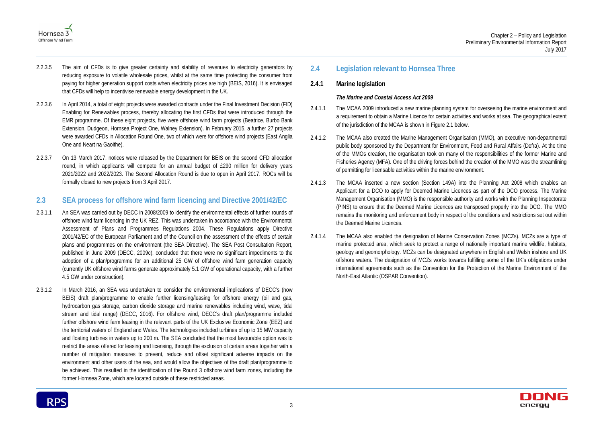



- 2.2.3.5 The aim of CFDs is to give greater certainty and stability of revenues to electricity generators by reducing exposure to volatile wholesale prices, whilst at the same time protecting the consumer from paying for higher generation support costs when electricity prices are high (BEIS, 2016). It is envisaged that CFDs will help to incentivise renewable energy development in the UK.
- 2.2.3.6 In April 2014, a total of eight projects were awarded contracts under the Final Investment Decision (FID) Enabling for Renewables process, thereby allocating the first CFDs that were introduced through the EMR programme. Of these eight projects, five were offshore wind farm projects (Beatrice, Burbo Bank Extension, Dudgeon, Hornsea Project One, Walney Extension). In February 2015, a further 27 projects were awarded CFDs in Allocation Round One, two of which were for offshore wind projects (East Anglia One and Neart na Gaoithe).
- 2.2.3.7 On 13 March 2017, notices were released by the Department for BEIS on the second CFD allocation round, in which applicants will compete for an annual budget of £290 million for delivery years 2021/2022 and 2022/2023. The Second Allocation Round is due to open in April 2017. ROCs will be formally closed to new projects from 3 April 2017.

# <span id="page-7-0"></span>**2.3 SEA process for offshore wind farm licencing and Directive 2001/42/EC**

- 2.3.1.1 An SEA was carried out by DECC in 2008/2009 to identify the environmental effects of further rounds of offshore wind farm licencing in the UK REZ. This was undertaken in accordance with the Environmental Assessment of Plans and Programmes Regulations 2004. These Regulations apply Directive 2001/42/EC of the European Parliament and of the Council on the assessment of the effects of certain plans and programmes on the environment (the SEA Directive). The SEA Post Consultation Report, published in June 2009 (DECC, 2009c), concluded that there were no significant impediments to the adoption of a plan/programme for an additional 25 GW of offshore wind farm generation capacity (currently UK offshore wind farms generate approximately 5.1 GW of operational capacity, with a further 4.5 GW under construction).
- 2.3.1.2 In March 2016, an SEA was undertaken to consider the environmental implications of DECC's (now BEIS) draft plan/programme to enable further licensing/leasing for offshore energy (oil and gas, hydrocarbon gas storage, carbon dioxide storage and marine renewables including wind, wave, tidal stream and tidal range) (DECC, 2016). For offshore wind, DECC's draft plan/programme included further offshore wind farm leasing in the relevant parts of the UK Exclusive Economic Zone (EEZ) and the territorial waters of England and Wales. The technologies included turbines of up to 15 MW capacity and floating turbines in waters up to 200 m. The SEA concluded that the most favourable option was to restrict the areas offered for leasing and licensing, through the exclusion of certain areas together with a number of mitigation measures to prevent, reduce and offset significant adverse impacts on the environment and other users of the sea, and would allow the objectives of the draft plan/programme to be achieved. This resulted in the identification of the Round 3 offshore wind farm zones, including the former Hornsea Zone, which are located outside of these restricted areas.

# <span id="page-7-1"></span>**2.4 Legislation relevant to Hornsea Three**

# **2.4.1 Marine legislation**

# *The Marine and Coastal Access Act 2009*

- 2.4.1.1 The MCAA 2009 introduced a new marine planning system for overseeing the marine environment and a requirement to obtain a Marine Licence for certain activities and works at sea. The geographical extent of the jurisdiction of the MCAA is shown in [Figure 2.1](#page-8-0) below.
- 2.4.1.2 The MCAA also created the Marine Management Organisation (MMO), an executive non-departmental public body sponsored by the Department for Environment, Food and Rural Affairs (Defra). At the time of the MMOs creation, the organisation took on many of the responsibilities of the former Marine and Fisheries Agency (MFA). One of the driving forces behind the creation of the MMO was the streamlining of permitting for licensable activities within the marine environment.
- 2.4.1.3 The MCAA inserted a new section (Section 149A) into the Planning Act 2008 which enables an Applicant for a DCO to apply for Deemed Marine Licences as part of the DCO process. The Marine Management Organisation (MMO) is the responsible authority and works with the Planning Inspectorate (PINS) to ensure that the Deemed Marine Licences are transposed properly into the DCO. The MMO remains the monitoring and enforcement body in respect of the conditions and restrictions set out within the Deemed Marine Licences.
- 2.4.1.4 The MCAA also enabled the designation of Marine Conservation Zones (MCZs). MCZs are a type of marine protected area, which seek to protect a range of nationally important marine wildlife, habitats, geology and geomorphology. MCZs can be designated anywhere in English and Welsh inshore and UK offshore waters. The designation of MCZs works towards fulfilling some of the UK's obligations under international agreements such as the Convention for the Protection of the Marine Environment of the North-East Atlantic (OSPAR Convention).

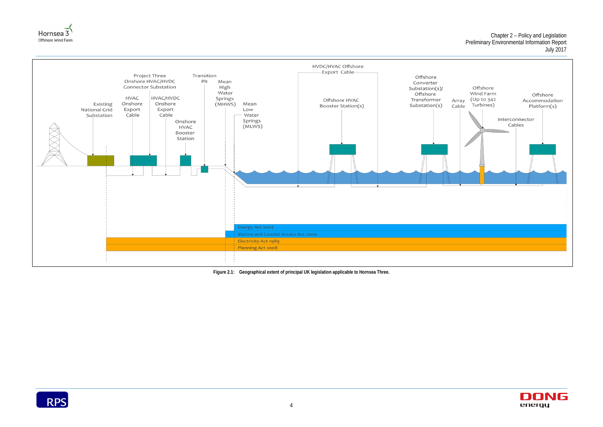





**Figure 2.1: Geographical extent of principal UK legislation applicable to Hornsea Three.**

<span id="page-8-0"></span>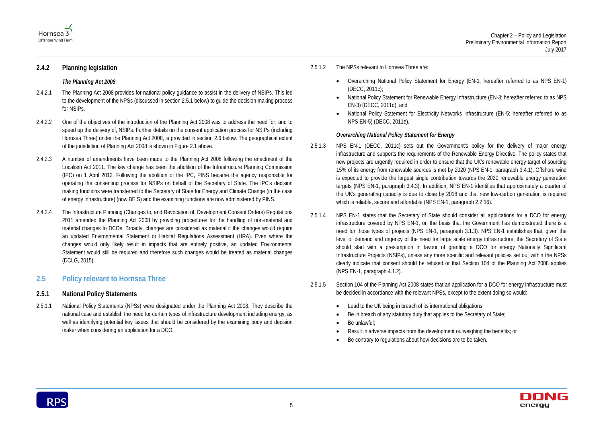

# **2.4.2 Planning legislation**

#### *The Planning Act 2008*

- 2.4.2.1 The Planning Act 2008 provides for national policy guidance to assist in the delivery of NSIPs. This led to the development of the NPSs (discussed in section [2.5.1](#page-9-1) below) to guide the decision making process for NSIPs.
- 2.4.2.2 One of the objectives of the introduction of the Planning Act 2008 was to address the need for, and to speed up the delivery of, NSIPs. Further details on the consent application process for NSIPs (including Hornsea Three) under the Planning Act 2008, is provided in section [2.6](#page-12-0) below. The geographical extent of the jurisdiction of Planning Act 2008 is shown in [Figure 2.1](#page-8-0) above.
- 2.4.2.3 A number of amendments have been made to the Planning Act 2008 following the enactment of the Localism Act 2011. The key change has been the abolition of the Infrastructure Planning Commission (IPC) on 1 April 2012. Following the abolition of the IPC, PINS became the agency responsible for operating the consenting process for NSIPs on behalf of the Secretary of State. The IPC's decision making functions were transferred to the Secretary of State for Energy and Climate Change (in the case of energy infrastructure) (now BEIS) and the examining functions are now administered by PINS.
- 2.4.2.4 The Infrastructure Planning (Changes to, and Revocation of, Development Consent Orders) Regulations 2011 amended the Planning Act 2008 by providing procedures for the handling of non-material and material changes to DCOs. Broadly, changes are considered as material if the changes would require an updated Environmental Statement or Habitat Regulations Assessment (HRA). Even where the changes would only likely result in impacts that are entirely positive, an updated Environmental Statement would still be required and therefore such changes would be treated as material changes (DCLG, 2015).
- <span id="page-9-2"></span>2.5.1.3 NPS EN-1 (DECC, 2011c) sets out the Government's policy for the delivery of major energy infrastructure and supports the requirements of the Renewable Energy Directive. The policy states that new projects are urgently required in order to ensure that the UK's renewable energy target of sourcing 15% of its energy from renewable sources is met by 2020 (NPS EN-1, paragraph 3.4.1). Offshore wind is expected to provide the largest single contribution towards the 2020 renewable energy generation targets (NPS EN-1, paragraph 3.4.3). In addition, NPS EN-1 identifies that approximately a quarter of the UK's generating capacity is due to close by 2018 and that new low-carbon generation is required which is reliable, secure and affordable (NPS EN-1, paragraph 2.2.16).
- 2.5.1.4 NPS EN-1 states that the Secretary of State should consider all applications for a DCO for energy infrastructure covered by NPS EN-1, on the basis that the Government has demonstrated there is a need for those types of projects (NPS EN-1, paragraph 3.1.3). NPS EN-1 establishes that, given the level of demand and urgency of the need for large scale energy infrastructure, the Secretary of State should start with a presumption in favour of granting a DCO for energy Nationally Significant Infrastructure Projects (NSIPs), unless any more specific and relevant policies set out within the NPSs clearly indicate that consent should be refused or that Section 104 of the Planning Act 2008 applies (NPS EN-1, paragraph 4.1.2).
- 2.5.1.5 Section 104 of the Planning Act 2008 states that an application for a DCO for energy infrastructure must be decided in accordance with the relevant NPSs, except to the extent doing so would:
	- Lead to the UK being in breach of its international obligations;
	- Be in breach of any statutory duty that applies to the Secretary of State;
	- Be unlawful;
	- Result in adverse impacts from the development outweighing the benefits; or
	- Be contrary to regulations about how decisions are to be taken.



# <span id="page-9-0"></span>**2.5 Policy relevant to Hornsea Three**

# <span id="page-9-1"></span>**2.5.1 National Policy Statements**

2.5.1.1 National Policy Statements (NPSs) were designated under the Planning Act 2008. They describe the national case and establish the need for certain types of infrastructure development including energy, as well as identifying potential key issues that should be considered by the examining body and decision maker when considering an application for a DCO.

2.5.1.2 The NPSs relevant to Hornsea Three are:

• National Policy Statement for Renewable Energy Infrastructure (EN-3; hereafter referred to as NPS

- Overarching National Policy Statement for Energy (EN-1; hereafter referred to as NPS EN-1) (DECC, 2011c);
- EN-3) (DECC, 2011d); and
- NPS EN-5) (DECC, 2011e).

• National Policy Statement for Electricity Networks Infrastructure (EN-5; hereafter referred to as



### *Overarching National Policy Statement for Energy*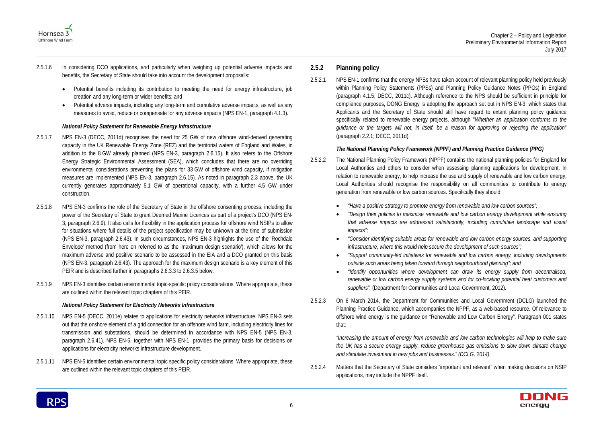

- 2.5.1.6 In considering DCO applications, and particularly when weighing up potential adverse impacts and benefits, the Secretary of State should take into account the development proposal's:
	- Potential benefits including its contribution to meeting the need for energy infrastructure, job creation and any long-term or wider benefits; and
	- Potential adverse impacts, including any long-term and cumulative adverse impacts, as well as any measures to avoid, reduce or compensate for any adverse impacts (NPS EN-1, paragraph 4.1.3).

# *National Policy Statement for Renewable Energy Infrastructure*

- 2.5.1.7 NPS EN-3 (DECC, 2011d) recognises the need for 25 GW of new offshore wind-derived generating capacity in the UK Renewable Energy Zone (REZ) and the territorial waters of England and Wales, in addition to the 8 GW already planned (NPS EN-3, paragraph 2.6.15). It also refers to the Offshore Energy Strategic Environmental Assessment (SEA), which concludes that there are no overriding environmental considerations preventing the plans for 33 GW of offshore wind capacity, if mitigation measures are implemented (NPS EN-3, paragraph 2.6.15). As noted in paragraph [2.3](#page-7-0) above, the UK currently generates approximately 5.1 GW of operational capacity, with a further 4.5 GW under construction.
- 2.5.1.8 NPS EN-3 confirms the role of the Secretary of State in the offshore consenting process, including the power of the Secretary of State to grant Deemed Marine Licences as part of a project's DCO (NPS EN-3, paragraph 2.6.9). It also calls for flexibility in the application process for offshore wind NSIPs to allow for situations where full details of the project specification may be unknown at the time of submission (NPS EN-3, paragraph 2.6.43). In such circumstances, NPS EN-3 highlights the use of the 'Rochdale Envelope' method (from here on referred to as the 'maximum design scenario'), which allows for the maximum adverse and positive scenario to be assessed in the EIA and a DCO granted on this basis (NPS EN-3, paragraph 2.6.43). The approach for the maximum design scenario is a key element of this PEIR and is described further in paragraphs [2.6.3.3](#page-14-1) to [2.6.3.5](#page-14-2) below.
- <span id="page-10-0"></span>2.5.1.9 NPS EN-3 identifies certain environmental topic-specific policy considerations. Where appropriate, these are outlined within the relevant topic chapters of this PEIR.

### *National Policy Statement for Electricity Networks Infrastructure*

- 2.5.1.10 NPS EN-5 (DECC, 2011e) relates to applications for electricity networks infrastructure. NPS EN-3 sets out that the onshore element of a grid connection for an offshore wind farm, including electricity lines for transmission and substations, should be determined in accordance with NPS EN-5 (NPS EN-3, paragraph 2.6.41). NPS EN-5, together with NPS EN-1, provides the primary basis for decisions on applications for electricity networks infrastructure development.
- 2.5.1.11 NPS EN-5 identifies certain environmental topic specific policy considerations. Where appropriate, these are outlined within the relevant topic chapters of this PEIR.

# **2.5.2 Planning policy**

2.5.2.1 NPS EN-1 confirms that the energy NPSs have taken account of relevant planning policy held previously within Planning Policy Statements (PPSs) and Planning Policy Guidance Notes (PPGs) in England (paragraph 4.1.5; DECC, 2011c). Although reference to the NPS should be sufficient in principle for compliance purposes, DONG Energy is adopting the approach set out in NPS EN-3, which states that Applicants and the Secretary of State should still have regard to extant planning policy guidance specifically related to renewable energy projects, although "*Whether an application conforms to the guidance or the targets will not, in itself, be a reason for approving or rejecting the application*" (paragraph 2.2.1; DECC, 2011d).

# *The National Planning Policy Framework (NPPF) and Planning Practice Guidance (PPG)*

• *"Design their policies to maximise renewable and low carbon energy development while ensuring that adverse impacts are addressed satisfactorily, including cumulative landscape and visual* 

• *"Consider identifying suitable areas for renewable and low carbon energy sources, and supporting* 

- 2.5.2.2 The National Planning Policy Framework (NPPF) contains the national planning policies for England for Local Authorities and others to consider when assessing planning applications for development. In relation to renewable energy, to help increase the use and supply of renewable and low carbon energy, Local Authorities should recognise the responsibility on all communities to contribute to energy generation from renewable or low carbon sources. Specifically they should:
	- *"Have a positive strategy to promote energy from renewable and low carbon sources";*
	- *impacts";*
	- *infrastructure, where this would help secure the development of such sources";*
	- *"Support community-led initiatives for renewable and low carbon energy, including developments outside such areas being taken forward through neighbourhood planning"; and*
	- *suppliers".* (Department for Communities and Local Government, 2012).
- 2.5.2.3 On 6 March 2014, the Department for Communities and Local Government (DCLG) launched the Planning Practice Guidance, which accompanies the NPPF, as a web-based resource. Of relevance to offshore wind energy is the guidance on "Renewable and Low Carbon Energy". Paragraph 001 states that:

• *"Identify opportunities where development can draw its energy supply from decentralised, renewable or low carbon energy supply systems and for co-locating potential heat customers and* 



*"Increasing the amount of energy from renewable and low carbon technologies will help to make sure the UK has a secure energy supply, reduce greenhouse gas emissions to slow down climate change and stimulate investment in new jobs and businesses." (DCLG, 2014).*

2.5.2.4 Matters that the Secretary of State considers "important and relevant" when making decisions on NSIP applications, may include the NPPF itself.

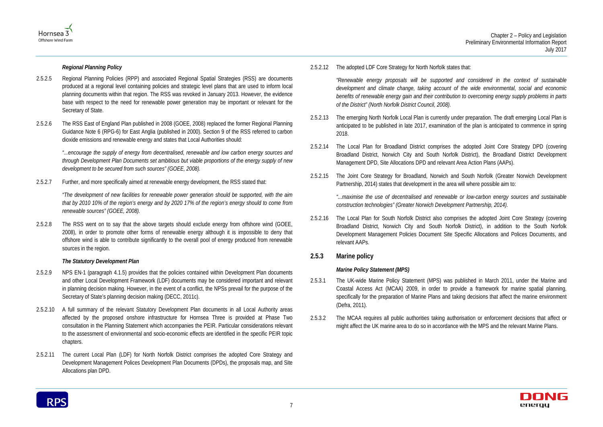



*Regional Planning Policy*

- 2.5.2.5 Regional Planning Policies (RPP) and associated Regional Spatial Strategies (RSS) are documents produced at a regional level containing policies and strategic level plans that are used to inform local planning documents within that region. The RSS was revoked in January 2013. However, the evidence base with respect to the need for renewable power generation may be important or relevant for the Secretary of State.
- 2.5.2.6 The RSS East of England Plan published in 2008 (GOEE, 2008) replaced the former Regional Planning Guidance Note 6 (RPG-6) for East Anglia (published in 2000). Section 9 of the RSS referred to carbon dioxide emissions and renewable energy and states that Local Authorities should:

*"...encourage the supply of energy from decentralised, renewable and low carbon energy sources and through Development Plan Documents set ambitious but viable proportions of the energy supply of new development to be secured from such sources" (GOEE, 2008).*

2.5.2.7 Further, and more specifically aimed at renewable energy development, the RSS stated that:

*"The development of new facilities for renewable power generation should be supported, with the aim that by 2010 10% of the region's energy and by 2020 17% of the region's energy should to come from renewable sources" (GOEE, 2008).*

2.5.2.8 The RSS went on to say that the above targets should exclude energy from offshore wind (GOEE, 2008), in order to promote other forms of renewable energy although it is impossible to deny that offshore wind is able to contribute significantly to the overall pool of energy produced from renewable sources in the region.

# *The Statutory Development Plan*

- 2.5.2.9 NPS EN-1 (paragraph 4.1.5) provides that the policies contained within Development Plan documents and other Local Development Framework (LDF) documents may be considered important and relevant in planning decision making. However, in the event of a conflict, the NPSs prevail for the purpose of the Secretary of State's planning decision making (DECC, 2011c).
- 2.5.2.10 A full summary of the relevant Statutory Development Plan documents in all Local Authority areas affected by the proposed onshore infrastructure for Hornsea Three is provided at Phase Two consultation in the Planning Statement which accompanies the PEIR. Particular considerations relevant to the assessment of environmental and socio-economic effects are identified in the specific PEIR topic chapters.
- 2.5.2.11 The current Local Plan (LDF) for North Norfolk District comprises the adopted Core Strategy and Development Management Polices Development Plan Documents (DPDs), the proposals map, and Site Allocations plan DPD.

2.5.2.12 The adopted LDF Core Strategy for North Norfolk states that:

*"Renewable energy proposals will be supported and considered in the context of sustainable development and climate change, taking account of the wide environmental, social and economic benefits of renewable energy gain and their contribution to overcoming energy supply problems in parts of the District" (North Norfolk District Council, 2008).*

- 2.5.2.13 The emerging North Norfolk Local Plan is currently under preparation. The draft emerging Local Plan is anticipated to be published in late 2017, examination of the plan is anticipated to commence in spring 2018.
- 2.5.2.14 The Local Plan for Broadland District comprises the adopted Joint Core Strategy DPD (covering Broadland District, Norwich City and South Norfolk District), the Broadland District Development Management DPD, Site Allocations DPD and relevant Area Action Plans (AAPs).
- 2.5.2.15 The Joint Core Strategy for Broadland, Norwich and South Norfolk (Greater Norwich Development Partnership, 2014) states that development in the area will where possible aim to:

*"...maximise the use of decentralised and renewable or low-carbon energy sources and sustainable construction technologies" (Greater Norwich Development Partnership, 2014).*

2.5.2.16 The Local Plan for South Norfolk District also comprises the adopted Joint Core Strategy (covering Broadland District, Norwich City and South Norfolk District), in addition to the South Norfolk Development Management Policies Document Site Specific Allocations and Polices Documents, and relevant AAPs.

# **2.5.3 Marine policy**

# *Marine Policy Statement (MPS)*

- 2.5.3.1 The UK-wide Marine Policy Statement (MPS) was published in March 2011, under the Marine and Coastal Access Act (MCAA) 2009, in order to provide a framework for marine spatial planning, specifically for the preparation of Marine Plans and taking decisions that affect the marine environment (Defra, 2011).
- 2.5.3.2 The MCAA requires all public authorities taking authorisation or enforcement decisions that affect or might affect the UK marine area to do so in accordance with the MPS and the relevant Marine Plans.

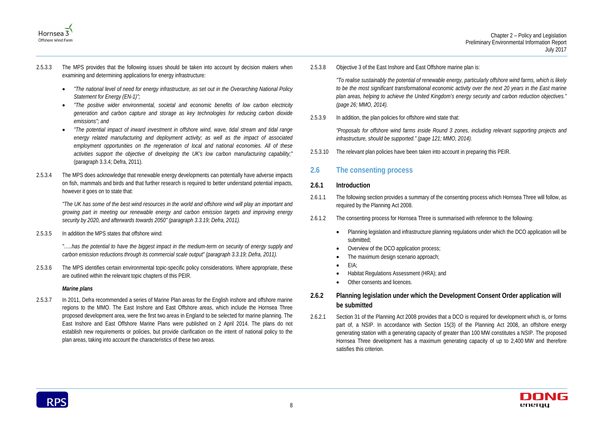

- 2.5.3.3 The MPS provides that the following issues should be taken into account by decision makers when examining and determining applications for energy infrastructure:
	- *"The national level of need for energy infrastructure, as set out in the Overarching National Policy Statement for Energy (EN-1)";*
	- *"The positive wider environmental, societal and economic benefits of low carbon electricity generation and carbon capture and storage as key technologies for reducing carbon dioxide emissions"; and*
	- *"The potential impact of inward investment in offshore wind, wave, tidal stream and tidal range energy related manufacturing and deployment activity; as well as the impact of associated employment opportunities on the regeneration of local and national economies. All of these activities support the objective of developing the UK's low carbon manufacturing capability;"*  (paragraph 3.3.4; Defra, 2011).
- 2.5.3.4 The MPS does acknowledge that renewable energy developments can potentially have adverse impacts on fish, mammals and birds and that further research is required to better understand potential impacts, however it goes on to state that:

*"The UK has some of the best wind resources in the world and offshore wind will play an important and growing part in meeting our renewable energy and carbon emission targets and improving energy security by 2020, and afterwards towards 2050" (paragraph 3.3.19; Defra, 2011).*

2.5.3.5 In addition the MPS states that offshore wind:

- 2.6.1.1 The following section provides a summary of the consenting process which Hornsea Three will follow, as required by the Planning Act 2008.
- 2.6.1.2 The consenting process for Hornsea Three is summarised with reference to the following:
	- submitted:
	- Overview of the DCO application process;
	- The maximum design scenario approach;
	- EIA;
	- Habitat Regulations Assessment (HRA); and
	- Other consents and licences.

*"…..has the potential to have the biggest impact in the medium-term on security of energy supply and carbon emission reductions through its commercial scale output" (paragraph 3.3.19; Defra, 2011).*

2.5.3.6 The MPS identifies certain environmental topic-specific policy considerations. Where appropriate, these are outlined within the relevant topic chapters of this PEIR.

# *Marine plans*

2.5.3.7 In 2011, Defra recommended a series of Marine Plan areas for the English inshore and offshore marine regions to the MMO. The East Inshore and East Offshore areas, which include the Hornsea Three proposed development area, were the first two areas in England to be selected for marine planning. The East Inshore and East Offshore Marine Plans were published on 2 April 2014. The plans do not establish new requirements or policies, but provide clarification on the intent of national policy to the plan areas, taking into account the characteristics of these two areas.

2.5.3.8 Objective 3 of the East Inshore and East Offshore marine plan is:

*"To realise sustainably the potential of renewable energy, particularly offshore wind farms, which is likely to be the most significant transformational economic activity over the next 20 years in the East marine plan areas, helping to achieve the United Kingdom's energy security and carbon reduction objectives." (page 26; MMO, 2014).*

2.5.3.9 In addition, the plan policies for offshore wind state that:

*"Proposals for offshore wind farms inside Round 3 zones, including relevant supporting projects and infrastructure, should be supported." (page 121; MMO, 2014).*

2.5.3.10 The relevant plan policies have been taken into account in preparing this PEIR.

# <span id="page-12-0"></span>**2.6 The consenting process**

# **2.6.1 Introduction**

• Planning legislation and infrastructure planning regulations under which the DCO application will be



# **2.6.2 Planning legislation under which the Development Consent Order application will be submitted**

2.6.2.1 Section 31 of the Planning Act 2008 provides that a DCO is required for development which is, or forms part of, a NSIP. In accordance with Section 15(3) of the Planning Act 2008, an offshore energy generating station with a generating capacity of greater than 100 MW constitutes a NSIP. The proposed Hornsea Three development has a maximum generating capacity of up to 2,400 MW and therefore satisfies this criterion.

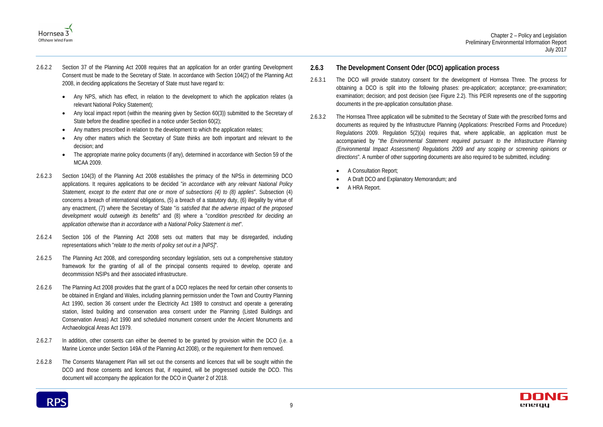



- 2.6.2.2 Section 37 of the Planning Act 2008 requires that an application for an order granting Development Consent must be made to the Secretary of State. In accordance with Section 104(2) of the Planning Act 2008, in deciding applications the Secretary of State must have regard to:
	- Any NPS, which has effect, in relation to the development to which the application relates (a relevant National Policy Statement);
	- Any local impact report (within the meaning given by Section 60(3)) submitted to the Secretary of State before the deadline specified in a notice under Section 60(2);
	- Any matters prescribed in relation to the development to which the application relates;
	- Any other matters which the Secretary of State thinks are both important and relevant to the decision; and
	- The appropriate marine policy documents (if any), determined in accordance with Section 59 of the MCAA 2009.
- 2.6.2.3 Section 104(3) of the Planning Act 2008 establishes the primacy of the NPSs in determining DCO applications. It requires applications to be decided "*in accordance with any relevant National Policy Statement, except to the extent that one or more of subsections (4) to (8) applies*". Subsection (4) concerns a breach of international obligations, (5) a breach of a statutory duty, (6) illegality by virtue of any enactment, (7) where the Secretary of State "*is satisfied that the adverse impact of the proposed development would outweigh its benefits*" and (8) where a "*condition prescribed for deciding an application otherwise than in accordance with a National Policy Statement is met*".
- 2.6.2.4 Section 106 of the Planning Act 2008 sets out matters that may be disregarded, including representations which "*relate to the merits of policy set out in a [NPS]*".
- 2.6.2.5 The Planning Act 2008, and corresponding secondary legislation, sets out a comprehensive statutory framework for the granting of all of the principal consents required to develop, operate and decommission NSIPs and their associated infrastructure.
- 2.6.2.6 The Planning Act 2008 provides that the grant of a DCO replaces the need for certain other consents to be obtained in England and Wales, including planning permission under the Town and Country Planning Act 1990, section 36 consent under the Electricity Act 1989 to construct and operate a generating station, listed building and conservation area consent under the Planning (Listed Buildings and Conservation Areas) Act 1990 and scheduled monument consent under the Ancient Monuments and Archaeological Areas Act 1979.
- 2.6.2.7 In addition, other consents can either be deemed to be granted by provision within the DCO (i.e. a Marine Licence under Section 149A of the Planning Act 2008), or the requirement for them removed.
- 2.6.2.8 The Consents Management Plan will set out the consents and licences that will be sought within the DCO and those consents and licences that, if required, will be progressed outside the DCO. This document will accompany the application for the DCO in Quarter 2 of 2018.

# **2.6.3 The Development Consent Oder (DCO) application process**

- 2.6.3.1 The DCO will provide statutory consent for the development of Hornsea Three. The process for obtaining a DCO is split into the following phases: pre-application; acceptance; pre-examination; examination; decision; and post decision (see [Figure 2.2\)](#page-14-0). This PEIR represents one of the supporting documents in the pre-application consultation phase.
- 2.6.3.2 The Hornsea Three application will be submitted to the Secretary of State with the prescribed forms and documents as required by the Infrastructure Planning (Applications: Prescribed Forms and Procedure) Regulations 2009. Regulation 5(2)(a) requires that, where applicable, an application must be accompanied by "*the Environmental Statement required pursuant to the Infrastructure Planning (Environmental Impact Assessment) Regulations 2009 and any scoping or screening opinions or directions*". A number of other supporting documents are also required to be submitted, including:
	- A Consultation Report;
	- A Draft DCO and Explanatory Memorandum; and
	- A HRA Report.

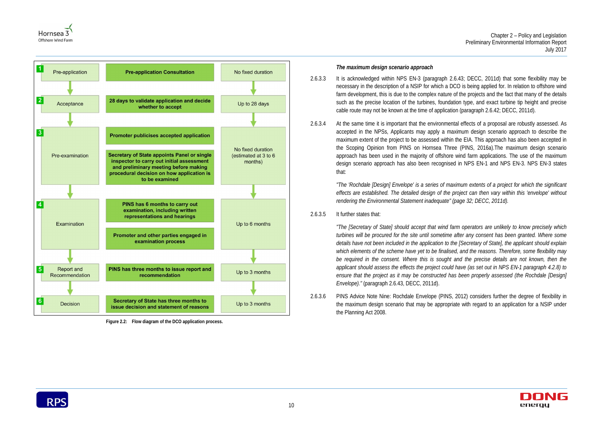



<span id="page-14-0"></span>**Figure 2.2: Flow diagram of the DCO application process.**

# *The maximum design scenario approach*

- <span id="page-14-1"></span>2.6.3.3 It is acknowledged within NPS EN-3 (paragraph 2.6.43; DECC, 2011d) that some flexibility may be necessary in the description of a NSIP for which a DCO is being applied for. In relation to offshore wind farm development, this is due to the complex nature of the projects and the fact that many of the details such as the precise location of the turbines, foundation type, and exact turbine tip height and precise cable route may not be known at the time of application (paragraph 2.6.42; DECC, 2011d).
- 2.6.3.4 At the same time it is important that the environmental effects of a proposal are robustly assessed. As accepted in the NPSs, Applicants may apply a maximum design scenario approach to describe the maximum extent of the project to be assessed within the EIA. This approach has also been accepted in the Scoping Opinion from PINS on Hornsea Three (PINS, 2016a).The maximum design scenario approach has been used in the majority of offshore wind farm applications. The use of the maximum design scenario approach has also been recognised in NPS EN-1 and NPS EN-3. NPS EN-3 states that:

*"The 'Rochdale [Design] Envelope' is a series of maximum extents of a project for which the significant effects are established. The detailed design of the project can then vary within this 'envelope' without rendering the Environmental Statement inadequate" (page 32; DECC, 2011d).*

<span id="page-14-2"></span>2.6.3.5 It further states that:

*"The [Secretary of State] should accept that wind farm operators are unlikely to know precisely which turbines will be procured for the site until sometime after any consent has been granted. Where some details have not been included in the application to the [Secretary of State], the applicant should explain which elements of the scheme have yet to be finalised, and the reasons. Therefore, some flexibility may*  be required in the consent. Where this is sought and the precise details are not known, then the *applicant should assess the effects the project could have (as set out in NPS EN-1 paragraph 4.2.8) to ensure that the project as it may be constructed has been properly assessed (the Rochdale [Design] Envelope)."* (paragraph 2.6.43, DECC, 2011d).

2.6.3.6 PINS Advice Note Nine: Rochdale Envelope (PINS, 2012) considers further the degree of flexibility in the maximum design scenario that may be appropriate with regard to an application for a NSIP under the Planning Act 2008.

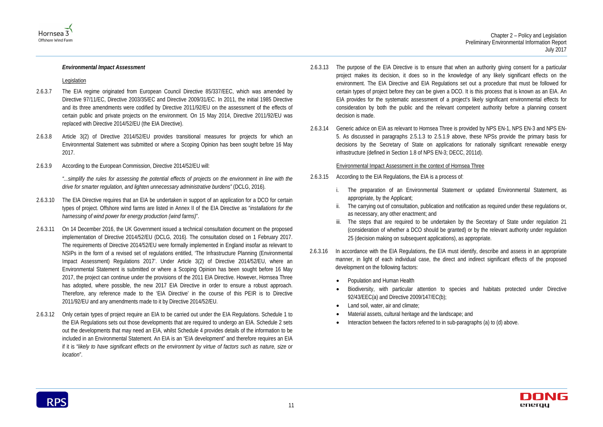

#### *Environmental Impact Assessment*

#### Legislation

- 2.6.3.7 The EIA regime originated from European Council Directive 85/337/EEC, which was amended by Directive 97/11/EC, Directive 2003/35/EC and Directive 2009/31/EC. In 2011, the initial 1985 Directive and its three amendments were codified by Directive 2011/92/EU on the assessment of the effects of certain public and private projects on the environment. On 15 May 2014, Directive 2011/92/EU was replaced with Directive 2014/52/EU (the EIA Directive).
- 2.6.3.8 Article 3(2) of Directive 2014/52/EU provides transitional measures for projects for which an Environmental Statement was submitted or where a Scoping Opinion has been sought before 16 May 2017.
- 2.6.3.9 According to the European Commission, Directive 2014/52/EU will:

*"...simplify the rules for assessing the potential effects of projects on the environment in line with the drive for smarter regulation, and lighten unnecessary administrative burdens"* (DCLG, 2016).

- 2.6.3.10 The EIA Directive requires that an EIA be undertaken in support of an application for a DCO for certain types of project. Offshore wind farms are listed in Annex II of the EIA Directive as "*installations for the harnessing of wind power for energy production (wind farms)*".
- 2.6.3.11 On 14 December 2016, the UK Government issued a technical consultation document on the proposed implementation of Directive 2014/52/EU (DCLG, 2016). The consultation closed on 1 February 2017. The requirements of Directive 2014/52/EU were formally implemented in England insofar as relevant to NSIPs in the form of a revised set of regulations entitled, 'The Infrastructure Planning (Environmental Impact Assessment) Regulations 2017'. Under Article 3(2) of Directive 2014/52/EU, where an Environmental Statement is submitted or where a Scoping Opinion has been sought before 16 May 2017, the project can continue under the provisions of the 2011 EIA Directive. However, Hornsea Three has adopted, where possible, the new 2017 EIA Directive in order to ensure a robust approach. Therefore, any reference made to the 'EIA Directive' in the course of this PEIR is to Directive 2011/92/EU and any amendments made to it by Directive 2014/52/EU.
- 2.6.3.12 Only certain types of project require an EIA to be carried out under the EIA Regulations. Schedule 1 to the EIA Regulations sets out those developments that are required to undergo an EIA. Schedule 2 sets out the developments that may need an EIA, whilst Schedule 4 provides details of the information to be included in an Environmental Statement. An EIA is an "EIA development" and therefore requires an EIA if it is "*likely to have significant effects on the environment by virtue of factors such as nature, size or location*".

The steps that are required to be undertaken by the Secretary of State under regulation 21 (consideration of whether a DCO should be granted) or by the relevant authority under regulation

- 2.6.3.13 The purpose of the EIA Directive is to ensure that when an authority giving consent for a particular project makes its decision, it does so in the knowledge of any likely significant effects on the environment. The EIA Directive and EIA Regulations set out a procedure that must be followed for certain types of project before they can be given a DCO. It is this process that is known as an EIA. An EIA provides for the systematic assessment of a project's likely significant environmental effects for consideration by both the public and the relevant competent authority before a planning consent decision is made.
- 2.6.3.14 Generic advice on EIA as relevant to Hornsea Three is provided by NPS EN-1, NPS EN-3 and NPS EN-5. As discussed in paragraphs [2.5.1.3](#page-9-2) to [2.5.1.9](#page-10-0) above, these NPSs provide the primary basis for decisions by the Secretary of State on applications for nationally significant renewable energy infrastructure (defined in Section 1.8 of NPS EN-3; DECC, 2011d).

#### Environmental Impact Assessment in the context of Hornsea Three

- 2.6.3.15 According to the EIA Regulations, the EIA is a process of:
	- i. The preparation of an Environmental Statement or updated Environmental Statement, as appropriate, by the Applicant;
	- ii. The carrying out of consultation, publication and notification as required under these regulations or, as necessary, any other enactment; and
	- 25 (decision making on subsequent applications), as appropriate.
- 2.6.3.16 In accordance with the EIA Regulations, the EIA must identify, describe and assess in an appropriate manner, in light of each individual case, the direct and indirect significant effects of the proposed development on the following factors:
	- Population and Human Health
	- 92/43/EEC(a) and Directive 2009/147/EC(b);
	- Land soil, water, air and climate;
	- Material assets, cultural heritage and the landscape; and
	- Interaction between the factors referred to in sub-paragraphs (a) to (d) above.



• Biodiversity, with particular attention to species and habitats protected under Directive

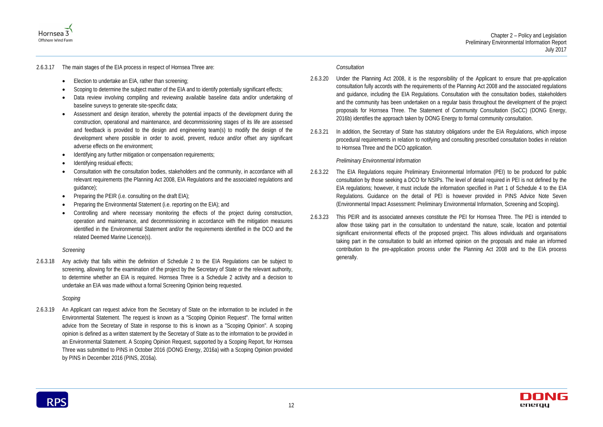



# 2.6.3.17 The main stages of the EIA process in respect of Hornsea Three are:

- Election to undertake an EIA, rather than screening;
- Scoping to determine the subject matter of the EIA and to identify potentially significant effects;
- Data review involving compiling and reviewing available baseline data and/or undertaking of baseline surveys to generate site-specific data;
- Assessment and design iteration, whereby the potential impacts of the development during the construction, operational and maintenance, and decommissioning stages of its life are assessed and feedback is provided to the design and engineering team(s) to modify the design of the development where possible in order to avoid, prevent, reduce and/or offset any significant adverse effects on the environment;
- Identifying any further mitigation or compensation requirements;
- Identifying residual effects;
- Consultation with the consultation bodies, stakeholders and the community, in accordance with all relevant requirements (the Planning Act 2008, EIA Regulations and the associated regulations and guidance);
- Preparing the PEIR (i.e. consulting on the draft  $E(A)$ ;
- Preparing the Environmental Statement (i.e. reporting on the EIA); and
- Controlling and where necessary monitoring the effects of the project during construction, operation and maintenance, and decommissioning in accordance with the mitigation measures identified in the Environmental Statement and/or the requirements identified in the DCO and the related Deemed Marine Licence(s).

### *Screening*

2.6.3.18 Any activity that falls within the definition of Schedule 2 to the EIA Regulations can be subject to screening, allowing for the examination of the project by the Secretary of State or the relevant authority, to determine whether an EIA is required. Hornsea Three is a Schedule 2 activity and a decision to undertake an EIA was made without a formal Screening Opinion being requested.

# *Scoping*

2.6.3.19 An Applicant can request advice from the Secretary of State on the information to be included in the Environmental Statement. The request is known as a "Scoping Opinion Request". The formal written advice from the Secretary of State in response to this is known as a "Scoping Opinion". A scoping opinion is defined as a written statement by the Secretary of State as to the information to be provided in an Environmental Statement. A Scoping Opinion Request, supported by a Scoping Report, for Hornsea Three was submitted to PINS in October 2016 (DONG Energy, 2016a) with a Scoping Opinion provided by PINS in December 2016 (PINS, 2016a).

# *Consultation*

- 2.6.3.20 Under the Planning Act 2008, it is the responsibility of the Applicant to ensure that pre-application consultation fully accords with the requirements of the Planning Act 2008 and the associated regulations and guidance, including the EIA Regulations. Consultation with the consultation bodies, stakeholders and the community has been undertaken on a regular basis throughout the development of the project proposals for Hornsea Three. The Statement of Community Consultation (SoCC) (DONG Energy, 2016b) identifies the approach taken by DONG Energy to formal community consultation.
- 2.6.3.21 In addition, the Secretary of State has statutory obligations under the EIA Regulations, which impose procedural requirements in relation to notifying and consulting prescribed consultation bodies in relation to Hornsea Three and the DCO application.

### *Preliminary Environmental Information*

- 2.6.3.22 The EIA Regulations require Preliminary Environmental Information (PEI) to be produced for public consultation by those seeking a DCO for NSIPs. The level of detail required in PEI is not defined by the EIA regulations; however, it must include the information specified in Part 1 of Schedule 4 to the EIA Regulations. Guidance on the detail of PEI is however provided in PINS Advice Note Seven (Environmental Impact Assessment: Preliminary Environmental Information, Screening and Scoping).
- 2.6.3.23 This PEIR and its associated annexes constitute the PEI for Hornsea Three. The PEI is intended to allow those taking part in the consultation to understand the nature, scale, location and potential significant environmental effects of the proposed project. This allows individuals and organisations taking part in the consultation to build an informed opinion on the proposals and make an informed contribution to the pre-application process under the Planning Act 2008 and to the EIA process generally.

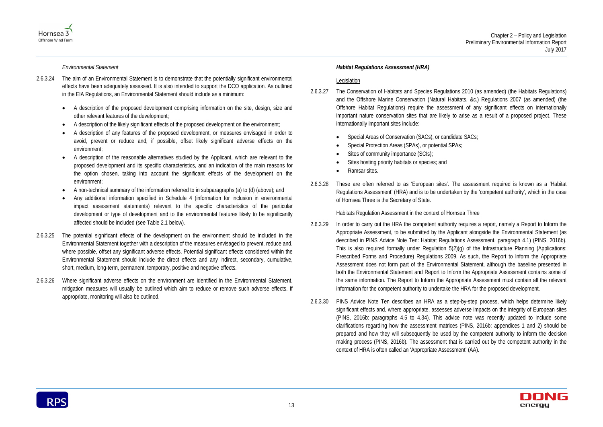



*Environmental Statement*

- 2.6.3.24 The aim of an Environmental Statement is to demonstrate that the potentially significant environmental effects have been adequately assessed. It is also intended to support the DCO application. As outlined in the EIA Regulations, an Environmental Statement should include as a minimum:
	- A description of the proposed development comprising information on the site, design, size and other relevant features of the development;
	- A description of the likely significant effects of the proposed development on the environment;
	- A description of any features of the proposed development, or measures envisaged in order to avoid, prevent or reduce and, if possible, offset likely significant adverse effects on the environment;
	- A description of the reasonable alternatives studied by the Applicant, which are relevant to the proposed development and its specific characteristics, and an indication of the main reasons for the option chosen, taking into account the significant effects of the development on the environment;
	- A non-technical summary of the information referred to in subparagraphs (a) to (d) (above); and
	- Any additional information specified in Schedule 4 (information for inclusion in environmental impact assessment statements) relevant to the specific characteristics of the particular development or type of development and to the environmental features likely to be significantly affected should be included (see [Table 2.1](#page-18-0) below).
- 2.6.3.25 The potential significant effects of the development on the environment should be included in the Environmental Statement together with a description of the measures envisaged to prevent, reduce and, where possible, offset any significant adverse effects. Potential significant effects considered within the Environmental Statement should include the direct effects and any indirect, secondary, cumulative, short, medium, long-term, permanent, temporary, positive and negative effects.
- 2.6.3.26 Where significant adverse effects on the environment are identified in the Environmental Statement, mitigation measures will usually be outlined which aim to reduce or remove such adverse effects. If appropriate, monitoring will also be outlined.

#### *Habitat Regulations Assessment (HRA)*

#### Legislation

- 2.6.3.27 The Conservation of Habitats and Species Regulations 2010 (as amended) (the Habitats Regulations) and the Offshore Marine Conservation (Natural Habitats, &c.) Regulations 2007 (as amended) (the Offshore Habitat Regulations) require the assessment of any significant effects on internationally important nature conservation sites that are likely to arise as a result of a proposed project. These internationally important sites include:
	- Special Areas of Conservation (SACs), or candidate SACs;
	- Special Protection Areas (SPAs), or potential SPAs;
	- Sites of community importance (SCIs);
	- Sites hosting priority habitats or species; and
	- Ramsar sites.
- 2.6.3.28 These are often referred to as 'European sites'. The assessment required is known as a 'Habitat Regulations Assessment' (HRA) and is to be undertaken by the 'competent authority', which in the case of Hornsea Three is the Secretary of State.

# Habitats Regulation Assessment in the context of Hornsea Three

- 2.6.3.29 In order to carry out the HRA the competent authority requires a report, namely a Report to Inform the Appropriate Assessment, to be submitted by the Applicant alongside the Environmental Statement (as described in PINS Advice Note Ten: Habitat Regulations Assessment, paragraph 4.1) (PINS, 2016b). This is also required formally under Regulation 5(2)(g) of the Infrastructure Planning (Applications: Prescribed Forms and Procedure) Regulations 2009. As such, the Report to Inform the Appropriate Assessment does not form part of the Environmental Statement, although the baseline presented in both the Environmental Statement and Report to Inform the Appropriate Assessment contains some of the same information. The Report to Inform the Appropriate Assessment must contain all the relevant information for the competent authority to undertake the HRA for the proposed development.
- 2.6.3.30 PINS Advice Note Ten describes an HRA as a step-by-step process, which helps determine likely significant effects and, where appropriate, assesses adverse impacts on the integrity of European sites (PINS, 2016b: paragraphs 4.5 to 4.34). This advice note was recently updated to include some clarifications regarding how the assessment matrices (PINS, 2016b: appendices 1 and 2) should be prepared and how they will subsequently be used by the competent authority to inform the decision making process (PINS, 2016b). The assessment that is carried out by the competent authority in the context of HRA is often called an 'Appropriate Assessment' (AA).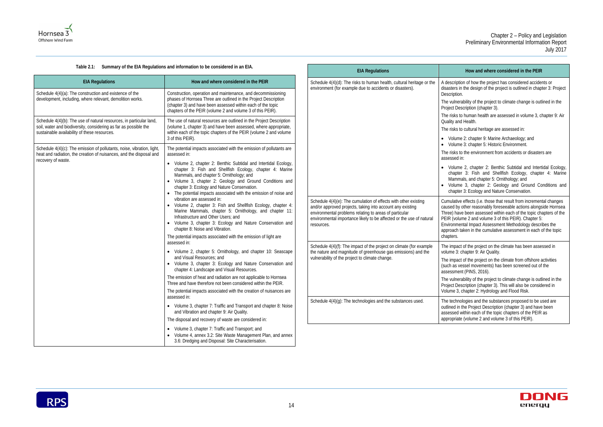<span id="page-18-0"></span>

| Summary of the EIA Regulations and information to be considered in an EIA.<br>Table 2.1:                                                                                                                                                                                                                                                                                                                                                                                                                                                                                                               |                                                                                                                                                                                                                                                                                                                                                                                                                                               | <b>EIA Regulations</b>                                                                                                                  |                                                                                           |
|--------------------------------------------------------------------------------------------------------------------------------------------------------------------------------------------------------------------------------------------------------------------------------------------------------------------------------------------------------------------------------------------------------------------------------------------------------------------------------------------------------------------------------------------------------------------------------------------------------|-----------------------------------------------------------------------------------------------------------------------------------------------------------------------------------------------------------------------------------------------------------------------------------------------------------------------------------------------------------------------------------------------------------------------------------------------|-----------------------------------------------------------------------------------------------------------------------------------------|-------------------------------------------------------------------------------------------|
| <b>EIA Regulations</b>                                                                                                                                                                                                                                                                                                                                                                                                                                                                                                                                                                                 | How and where considered in the PEIR                                                                                                                                                                                                                                                                                                                                                                                                          | Schedule 4(4)(d): The risks to human health, cultural heritage or the                                                                   | A descr                                                                                   |
| Schedule 4(4)(a): The construction and existence of the<br>development, including, where relevant, demolition works.                                                                                                                                                                                                                                                                                                                                                                                                                                                                                   | Construction, operation and maintenance, and decommissioning<br>phases of Hornsea Three are outlined in the Project Description<br>(chapter 3) and have been assessed within each of the topic<br>chapters of the PEIR (volume 2 and volume 3 of this PEIR).                                                                                                                                                                                  | environment (for example due to accidents or disasters).                                                                                | disaste<br>Descrip<br>The vul<br>Project                                                  |
| Schedule 4(4)(b): The use of natural resources, in particular land,<br>soil, water and biodiversity, considering as far as possible the<br>sustainable availability of these resources.                                                                                                                                                                                                                                                                                                                                                                                                                | The use of natural resources are outlined in the Project Description<br>(volume 1, chapter 3) and have been assessed, where appropriate,<br>within each of the topic chapters of the PEIR (volume 2 and volume<br>3 of this PEIR).                                                                                                                                                                                                            |                                                                                                                                         | The risl<br>Quality<br>The risl<br>$\bullet$ Vol                                          |
| Schedule 4(4)(c): The emission of pollutants, noise, vibration, light,<br>heat and radiation, the creation of nuisances, and the disposal and<br>recovery of waste.                                                                                                                                                                                                                                                                                                                                                                                                                                    | The potential impacts associated with the emission of pollutants are<br>assessed in:<br>• Volume 2, chapter 2: Benthic Subtidal and Intertidal Ecology,<br>chapter 3: Fish and Shellfish Ecology, chapter 4: Marine<br>Mammals, and chapter 5: Ornithology; and<br>• Volume 3, chapter 2: Geology and Ground Conditions and<br>chapter 3: Ecology and Nature Conservation.<br>The potential impacts associated with the emission of noise and |                                                                                                                                         | $\bullet$ Vol<br>The rist<br>assess<br>$\bullet$ Vol<br>chz<br>Ma<br>$\bullet$ Vol<br>chz |
| vibration are assessed in:<br>Volume 2, chapter 3: Fish and Shellfish Ecology, chapter 4:<br>Marine Mammals, chapter 5: Ornithology, and chapter 11:<br>Infrastructure and Other Users; and<br>• Volume 3, chapter 3: Ecology and Nature Conservation and<br>resources.<br>chapter 8: Noise and Vibration.<br>The potential impacts associated with the emission of light are<br>assessed in:<br>• Volume 2, chapter 5: Ornithology, and chapter 10: Seascape<br>and Visual Resources; and<br>• Volume 3, chapter 3: Ecology and Nature Conservation and<br>chapter 4: Landscape and Visual Resources. | and/or approved projects, taking into account any existing<br>environmental problems relating to areas of particular                                                                                                                                                                                                                                                                                                                          | Schedule 4(4)(e): The cumulation of effects with other existing<br>environmental importance likely to be affected or the use of natural | Cumula<br>caused<br>Three)<br>PEIR (V<br>Enviror<br>approa                                |
|                                                                                                                                                                                                                                                                                                                                                                                                                                                                                                                                                                                                        | Schedule 4(4)(f): The impact of the project on climate (for example<br>the nature and magnitude of greenhouse gas emissions) and the<br>vulnerability of the project to climate change.                                                                                                                                                                                                                                                       | chapter<br>The im<br>volume<br>The $im$<br>(such a<br>assess                                                                            |                                                                                           |
|                                                                                                                                                                                                                                                                                                                                                                                                                                                                                                                                                                                                        | The emission of heat and radiation are not applicable to Hornsea<br>Three and have therefore not been considered within the PEIR.<br>The potential impacts associated with the creation of nuisances are                                                                                                                                                                                                                                      |                                                                                                                                         | The vul<br>Project<br>Volume                                                              |
|                                                                                                                                                                                                                                                                                                                                                                                                                                                                                                                                                                                                        | assessed in:<br>• Volume 3, chapter 7: Traffic and Transport and chapter 8: Noise<br>and Vibration and chapter 9: Air Quality.<br>The disposal and recovery of waste are considered in:                                                                                                                                                                                                                                                       | Schedule 4(4)(g): The technologies and the substances used.                                                                             | The ted<br>outlined<br>assess<br>approp                                                   |
|                                                                                                                                                                                                                                                                                                                                                                                                                                                                                                                                                                                                        | Volume 3, chapter 7: Traffic and Transport; and<br>$\bullet$<br>• Volume 4, annex 3.2: Site Waste Management Plan, and annex<br>3.6: Dredging and Disposal: Site Characterisation.                                                                                                                                                                                                                                                            |                                                                                                                                         |                                                                                           |

#### **EIA Regulations How and where considered in the PEIR**

ription of how the project has considered accidents or ers in the design of the project is outlined in chapter 3: Project ption.

Inerability of the project to climate change is outlined in the t Description (chapter 3).

sks to human health are assessed in volume 3, chapter 9: Air and Health.

sks to cultural heritage are assessed in:

lume 2: chapter 9: Marine Archaeology; and lume 3: chapter 5: Historic Environment.

sks to the environment from accidents or disasters are sed in:

lume 2, chapter 2: Benthic Subtidal and Intertidal Ecology, apter 3: Fish and Shellfish Ecology, chapter 4: Marine ammals, and chapter 5: Ornithology; and lume 3, chapter 2: Geology and Ground Conditions and

apter 3: Ecology and Nature Conservation. ative effects (i.e. those that result from incremental changes

I by other reasonably foreseeable actions alongside Hornsea have been assessed within each of the topic chapters of the volume 2 and volume 3 of this PEIR). Chapter 5:

Immental Impact Assessment Methodology describes the ach taken in the cumulative assessment in each of the topic rs.

pact of the project on the climate has been assessed in 3: chapter 9: Air Quality.

pact of the project on the climate from offshore activities as vessel movements) has been screened out of the ment (PINS, 2016).

Inerability of the project to climate change is outlined in the t Description (chapter 3). This will also be considered in e 3, chapter 2: Hydrology and Flood Risk.

chnologies and the substances proposed to be used are d in the Project Description (chapter 3) and have been sed within each of the topic chapters of the PEIR as vriate (volume 2 and volume 3 of this PEIR).

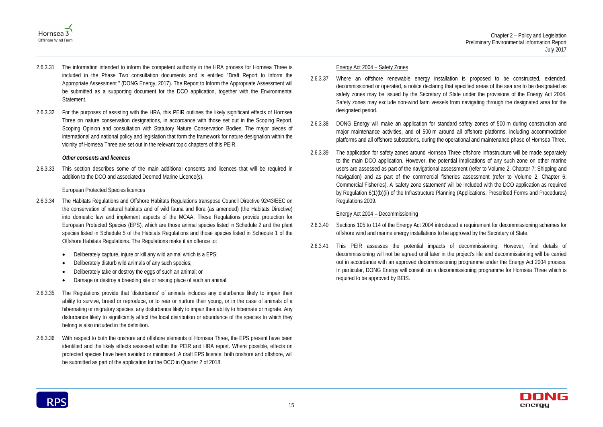



- 2.6.3.31 The information intended to inform the competent authority in the HRA process for Hornsea Three is included in the Phase Two consultation documents and is entitled "Draft Report to Inform the Appropriate Assessment " (DONG Energy, 2017). The Report to Inform the Appropriate Assessment will be submitted as a supporting document for the DCO application, together with the Environmental Statement.
- 2.6.3.32 For the purposes of assisting with the HRA, this PEIR outlines the likely significant effects of Hornsea Three on nature conservation designations, in accordance with those set out in the Scoping Report, Scoping Opinion and consultation with Statutory Nature Conservation Bodies. The major pieces of international and national policy and legislation that form the framework for nature designation within the vicinity of Hornsea Three are set out in the relevant topic chapters of this PEIR.

#### *Other consents and licences*

2.6.3.33 This section describes some of the main additional consents and licences that will be required in addition to the DCO and associated Deemed Marine Licence(s).

### European Protected Species licences

- 2.6.3.34 The Habitats Regulations and Offshore Habitats Regulations transpose Council Directive 92/43/EEC on the conservation of natural habitats and of wild fauna and flora (as amended) (the Habitats Directive) into domestic law and implement aspects of the MCAA. These Regulations provide protection for European Protected Species (EPS), which are those animal species listed in Schedule 2 and the plant species listed in Schedule 5 of the Habitats Regulations and those species listed in Schedule 1 of the Offshore Habitats Regulations. The Regulations make it an offence to:
	- Deliberately capture, injure or kill any wild animal which is a EPS;
	- Deliberately disturb wild animals of any such species;
	- Deliberately take or destroy the eggs of such an animal; or
	- Damage or destroy a breeding site or resting place of such an animal.
- 2.6.3.35 The Regulations provide that 'disturbance' of animals includes any disturbance likely to impair their ability to survive, breed or reproduce, or to rear or nurture their young, or in the case of animals of a hibernating or migratory species, any disturbance likely to impair their ability to hibernate or migrate. Any disturbance likely to significantly affect the local distribution or abundance of the species to which they belong is also included in the definition.
- 2.6.3.36 With respect to both the onshore and offshore elements of Hornsea Three, the EPS present have been identified and the likely effects assessed within the PEIR and HRA report. Where possible, effects on protected species have been avoided or minimised. A draft EPS licence, both onshore and offshore, will be submitted as part of the application for the DCO in Quarter 2 of 2018.

#### Energy Act 2004 – Safety Zones

- 2.6.3.37 Where an offshore renewable energy installation is proposed to be constructed, extended, decommissioned or operated, a notice declaring that specified areas of the sea are to be designated as safety zones may be issued by the Secretary of State under the provisions of the Energy Act 2004. Safety zones may exclude non-wind farm vessels from navigating through the designated area for the designated period.
- 2.6.3.38 DONG Energy will make an application for standard safety zones of 500 m during construction and major maintenance activities, and of 500 m around all offshore platforms, including accommodation platforms and all offshore substations, during the operational and maintenance phase of Hornsea Three.
- 2.6.3.39 The application for safety zones around Hornsea Three offshore infrastructure will be made separately to the main DCO application. However, the potential implications of any such zone on other marine users are assessed as part of the navigational assessment (refer to Volume 2, Chapter 7: Shipping and Navigation) and as part of the commercial fisheries assessment (refer to Volume 2, Chapter 6: Commercial Fisheries). A 'safety zone statement' will be included with the DCO application as required by Regulation 6(1)(b)(ii) of the Infrastructure Planning (Applications: Prescribed Forms and Procedures) Regulations 2009.

### Energy Act 2004 – Decommissioning

- 2.6.3.40 Sections 105 to 114 of the Energy Act 2004 introduced a requirement for decommissioning schemes for offshore wind and marine energy installations to be approved by the Secretary of State.
- 2.6.3.41 This PEIR assesses the potential impacts of decommissioning. However, final details of decommissioning will not be agreed until later in the project's life and decommissioning will be carried out in accordance with an approved decommissioning programme under the Energy Act 2004 process. In particular, DONG Energy will consult on a decommissioning programme for Hornsea Three which is required to be approved by BEIS.

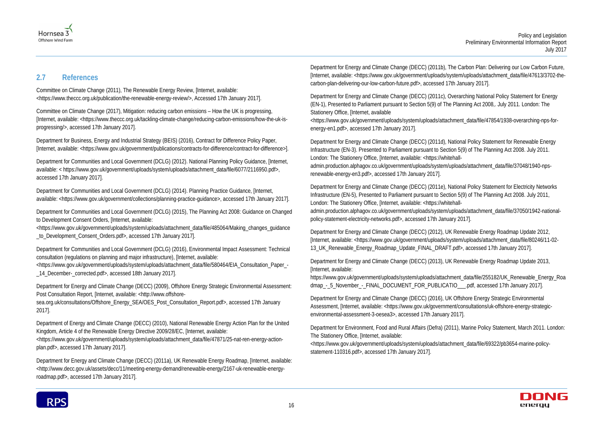



# <span id="page-20-0"></span>**2.7 References**

Committee on Climate Change (2011), The Renewable Energy Review, [Internet, available: [<https://www.theccc.org.uk/publication/the-renewable-energy-review/>](https://www.theccc.org.uk/publication/the-renewable-energy-review/), Accessed 17th January 2017].

Department for Business, Energy and Industrial Strategy (BEIS) (2016), Contract for Difference Policy Paper, [Internet, available: [<https://www.gov.uk/government/publications/contracts-for-difference/contract-for-difference>](https://www.gov.uk/government/publications/contracts-for-difference/contract-for-difference)].

Committee on Climate Change (2017), Mitigation: reducing carbon emissions – How the UK is progressing, [Internet, available: [<https://www.theccc.org.uk/tackling-climate-change/reducing-carbon-emissions/how-the-uk-is](https://www.theccc.org.uk/tackling-climate-change/reducing-carbon-emissions/how-the-uk-is-progressing/)[progressing/>](https://www.theccc.org.uk/tackling-climate-change/reducing-carbon-emissions/how-the-uk-is-progressing/), accessed 17th January 2017].

Department for Communities and Local Government (DCLG) (2012). National Planning Policy Guidance, [Internet, available: < [https://www.gov.uk/government/uploads/system/uploads/attachment\\_data/file/6077/2116950.pdf>](https://www.gov.uk/government/uploads/system/uploads/attachment_data/file/6077/2116950.pdf), accessed 17th January 2017].

Department for Energy and Climate Change (DECC) (2009), Offshore Energy Strategic Environmental Assessment: Post Consultation Report, [Internet, available: [<http://www.offshore-](http://www.offshore-sea.org.uk/consultations/Offshore_Energy_SEA/OES_Post_Consultation_Report.pdf)

Department for Communities and Local Government (DCLG) (2014). Planning Practice Guidance, [Internet, available: [<https://www.gov.uk/government/collections/planning-practice-guidance>](https://www.gov.uk/government/collections/planning-practice-guidance), accessed 17th January 2017].

Department for Communities and Local Government (DCLG) (2015), The Planning Act 2008: Guidance on Changed to Development Consent Orders, [Internet, available:

[<https://www.gov.uk/government/uploads/system/uploads/attachment\\_data/file/485064/Making\\_changes\\_guidance](https://www.gov.uk/government/uploads/system/uploads/attachment_data/file/485064/Making_changes_guidance_to_Development_Consent_Orders.pdf) [\\_to\\_Development\\_Consent\\_Orders.pdf>](https://www.gov.uk/government/uploads/system/uploads/attachment_data/file/485064/Making_changes_guidance_to_Development_Consent_Orders.pdf), accessed 17th January 2017].

Department for Communities and Local Government (DCLG) (2016), Environmental Impact Assessment: Technical consultation (regulations on planning and major infrastructure), [Internet, available:

[<https://www.gov.uk/government/uploads/system/uploads/attachment\\_data/file/580464/EIA\\_Consultation\\_Paper\\_-](https://www.gov.uk/government/uploads/system/uploads/attachment_data/file/580464/EIA_Consultation_Paper_-_14_December-_corrected.pdf) [\\_14\\_December-\\_corrected.pdf>](https://www.gov.uk/government/uploads/system/uploads/attachment_data/file/580464/EIA_Consultation_Paper_-_14_December-_corrected.pdf), accessed 18th January 2017].

[sea.org.uk/consultations/Offshore\\_Energy\\_SEA/OES\\_Post\\_Consultation\\_Report.pdf>](http://www.offshore-sea.org.uk/consultations/Offshore_Energy_SEA/OES_Post_Consultation_Report.pdf), accessed 17th January 2017].

Department of Energy and Climate Change (DECC) (2010), National Renewable Energy Action Plan for the United Kingdom, Article 4 of the Renewable Energy Directive 2009/28/EC, [Internet, available:

[<https://www.gov.uk/government/uploads/system/uploads/attachment\\_data/file/47871/25-nat-ren-energy-action](https://www.gov.uk/government/uploads/system/uploads/attachment_data/file/47871/25-nat-ren-energy-action-plan.pdf)[plan.pdf>](https://www.gov.uk/government/uploads/system/uploads/attachment_data/file/47871/25-nat-ren-energy-action-plan.pdf), accessed 17th January 2017].

[https://www.gov.uk/government/uploads/system/uploads/attachment\\_data/file/255182/UK\\_Renewable\\_Energy\\_Roa](https://www.gov.uk/government/uploads/system/uploads/attachment_data/file/255182/UK_Renewable_Energy_Roadmap_-_5_November_-_FINAL_DOCUMENT_FOR_PUBLICATIO___.pdf) [dmap\\_-\\_5\\_November\\_-\\_FINAL\\_DOCUMENT\\_FOR\\_PUBLICATIO\\_\\_\\_.pdf,](https://www.gov.uk/government/uploads/system/uploads/attachment_data/file/255182/UK_Renewable_Energy_Roadmap_-_5_November_-_FINAL_DOCUMENT_FOR_PUBLICATIO___.pdf) accessed 17th January 2017].

Department for Energy and Climate Change (DECC) (2011a), UK Renewable Energy Roadmap, [Internet, available: [<http://www.decc.gov.uk/assets/decc/11/meeting-energy-demand/renewable-energy/2167-uk-renewable-energy](http://www.decc.gov.uk/assets/decc/11/meeting-energy-demand/renewable-energy/2167-uk-renewable-energy-roadmap.pdf)[roadmap.pdf>](http://www.decc.gov.uk/assets/decc/11/meeting-energy-demand/renewable-energy/2167-uk-renewable-energy-roadmap.pdf), accessed 17th January 2017].

Department for Energy and Climate Change (DECC) (2011b), The Carbon Plan: Delivering our Low Carbon Future, [Internet, available: [<https://www.gov.uk/government/uploads/system/uploads/attachment\\_data/file/47613/3702-the](https://www.gov.uk/government/uploads/system/uploads/attachment_data/file/47613/3702-the-carbon-plan-delivering-our-low-carbon-future.pdf)[carbon-plan-delivering-our-low-carbon-future.pdf>](https://www.gov.uk/government/uploads/system/uploads/attachment_data/file/47613/3702-the-carbon-plan-delivering-our-low-carbon-future.pdf), accessed 17th January 2017].

Department for Energy and Climate Change (DECC) (2011c), Overarching National Policy Statement for Energy (EN-1), Presented to Parliament pursuant to Section 5(9) of The Planning Act 2008,. July 2011. London: The Stationery Office, [Internet, available

[<https://www.gov.uk/government/uploads/system/uploads/attachment\\_data/file/47854/1938-overarching-nps-for](https://www.gov.uk/government/uploads/system/uploads/attachment_data/file/47854/1938-overarching-nps-for-energy-en1.pdf)[energy-en1.pdf>](https://www.gov.uk/government/uploads/system/uploads/attachment_data/file/47854/1938-overarching-nps-for-energy-en1.pdf), accessed 17th January 2017].

Department for Energy and Climate Change (DECC) (2011d), National Policy Statement for Renewable Energy Infrastructure (EN-3). Presented to Parliament pursuant to Section 5(9) of The Planning Act 2008. July 2011. London: The Stationery Office, [Internet, available: [<https://whitehall](https://whitehall-admin.production.alphagov.co.uk/government/uploads/system/uploads/attachment_data/file/37048/1940-nps-renewable-energy-en3.pdf)[admin.production.alphagov.co.uk/government/uploads/system/uploads/attachment\\_data/file/37048/1940-nps](https://whitehall-admin.production.alphagov.co.uk/government/uploads/system/uploads/attachment_data/file/37048/1940-nps-renewable-energy-en3.pdf)[renewable-energy-en3.pdf>](https://whitehall-admin.production.alphagov.co.uk/government/uploads/system/uploads/attachment_data/file/37048/1940-nps-renewable-energy-en3.pdf), accessed 17th January 2017].

Department for Energy and Climate Change (DECC) (2011e), National Policy Statement for Electricity Networks Infrastructure (EN-5), Presented to Parliament pursuant to Section 5(9) of The Planning Act 2008. July 2011, London: The Stationery Office, [Internet, available: [<https://whitehall](https://whitehall-admin.production.alphagov.co.uk/government/uploads/system/uploads/attachment_data/file/37050/1942-national-policy-statement-electricity-networks.pdf)[admin.production.alphagov.co.uk/government/uploads/system/uploads/attachment\\_data/file/37050/1942-national](https://whitehall-admin.production.alphagov.co.uk/government/uploads/system/uploads/attachment_data/file/37050/1942-national-policy-statement-electricity-networks.pdf)[policy-statement-electricity-networks.pdf>](https://whitehall-admin.production.alphagov.co.uk/government/uploads/system/uploads/attachment_data/file/37050/1942-national-policy-statement-electricity-networks.pdf), accessed 17th January 2017].

Department for Energy and Climate Change (DECC) (2012), UK Renewable Energy Roadmap Update 2012, [Internet, available: [<https://www.gov.uk/government/uploads/system/uploads/attachment\\_data/file/80246/11-02-](https://www.gov.uk/government/uploads/system/uploads/attachment_data/file/80246/11-02-13_UK_Renewable_Energy_Roadmap_Update_FINAL_DRAFT.pdf) [13\\_UK\\_Renewable\\_Energy\\_Roadmap\\_Update\\_FINAL\\_DRAFT.pdf>](https://www.gov.uk/government/uploads/system/uploads/attachment_data/file/80246/11-02-13_UK_Renewable_Energy_Roadmap_Update_FINAL_DRAFT.pdf), accessed 17th January 2017].

Department for Energy and Climate Change (DECC) (2013), UK Renewable Energy Roadmap Update 2013, [Internet, available:

Department for Energy and Climate Change (DECC) (2016), UK Offshore Energy Strategic Environmental Assessment, [Internet, available: <https://www.gov.uk/government/consultations/uk-offshore-energy-strategicenvironmental-assessment-3-oesea3>, accessed 17th January 2017].

Department for Environment, Food and Rural Affairs (Defra) (2011), Marine Policy Statement, March 2011. London: The Stationery Office, [Internet, available:

[<https://www.gov.uk/government/uploads/system/uploads/attachment\\_data/file/69322/pb3654-marine-policy](https://www.gov.uk/government/uploads/system/uploads/attachment_data/file/69322/pb3654-marine-policy-statement-110316.pdf)[statement-110316.pdf>](https://www.gov.uk/government/uploads/system/uploads/attachment_data/file/69322/pb3654-marine-policy-statement-110316.pdf), accessed 17th January 2017].